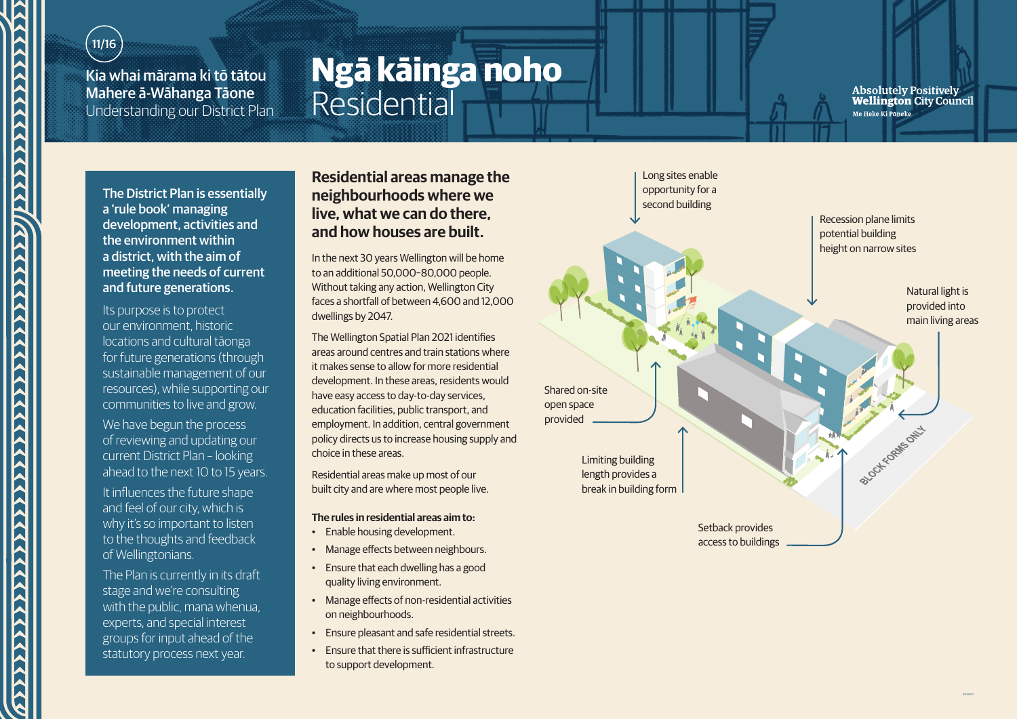## $11/16$

N

**ACCARACACACACACA** 

Kia whai mārama ki tō tātou Mahere ā-Wāhanga Tāone Understanding our District Plan

# **Ngā kāinga noho** Residential

Absolutely Positively<br>Wellington City Council Me Heke Ki Poneke

The District Plan is essentially a 'rule book' managing development, activities and the environment within a district, with the aim of meeting the needs of current and future generations.

Its purpose is to protect our environment, historic locations and cultural tāonga for future generations (through sustainable management of our resources), while supporting our communities to live and grow.

We have begun the process of reviewing and updating our current District Plan – looking ahead to the next 10 to 15 years.

It influences the future shape and feel of our city, which is why it's so important to listen to the thoughts and feedback of Wellingtonians.

The Plan is currently in its draft stage and we're consulting with the public, mana whenua. experts, and special interest groups for input ahead of the statutory process next year.

### **Residential areas manage the neighbourhoods where we live, what we can do there, and how houses are built.**

In the next 30 years Wellington will be home to an additional 50,000–80,000 people. Without taking any action, Wellington City faces a shortfall of between 4,600 and 12,000 dwellings by 2047.

The Wellington Spatial Plan 2021 identifies areas around centres and train stations where it makes sense to allow for more residential development. In these areas, residents would have easy access to day-to-day services, education facilities, public transport, and employment. In addition, central government policy directs us to increase housing supply and choice in these areas.

Residential areas make up most of our built city and are where most people live.

#### **The rules in residential areas aim to:**

- Enable housing development.
- Manage effects between neighbours.
- Ensure that each dwelling has a good quality living environment.
- Manage effects of non-residential activities on neighbourhoods.
- Ensure pleasant and safe residential streets.
- Ensure that there is sufficient infrastructure to support development.